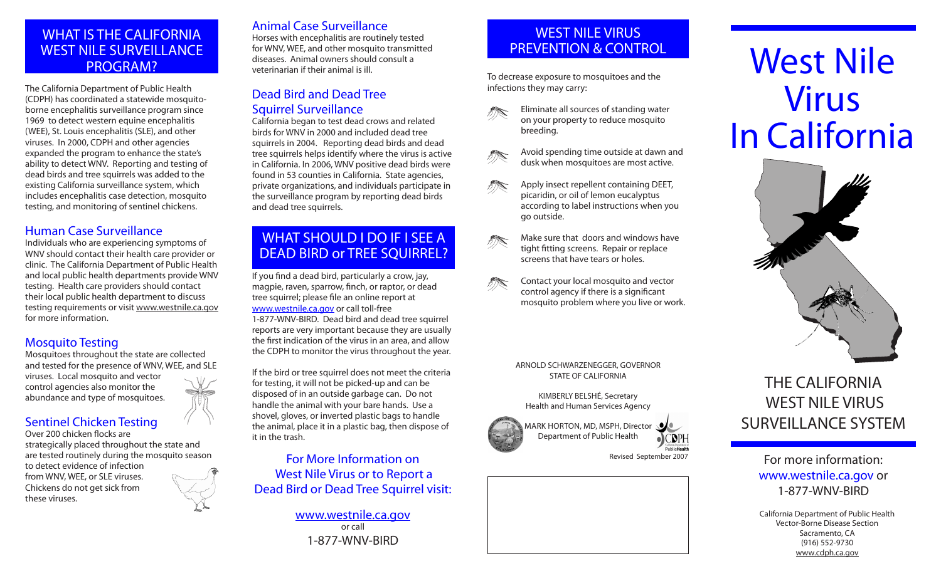### WHAT IS THE CALIFORNIA WEST NILE SURVEILLANCE PROGRAM?

The California Department of Public Health (CDPH) has coordinated a statewide mosquitoborne encephalitis surveillance program since 1969 to detect western equine encephalitis (WEE), St. Louis encephalitis (SLE), and other viruses. In 2000, CDPH and other agencies expanded the program to enhance the state's ability to detect WNV. Reporting and testing of dead birds and tree squirrels was added to the existing California surveillance system, which includes encephalitis case detection, mosquito testing, and monitoring of sentinel chickens.

#### Human Case Surveillance

Individuals who are experiencing symptoms of WNV should contact their health care provider or clinic. The California Department of Public Health and local public health departments provide WNV testing. Health care providers should contact their local public health department to discuss testing requirements or visit <www.westnile.ca.gov> for more information.

#### Mosquito Testing

Mosquitoes throughout the state are collected and tested for the presence of WNV, WEE, and SLE viruses. Local mosquito and vector control agencies also monitor the abundance and type of mosquitoes.

#### Sentinel Chicken Testing

Over 200 chicken flocks are strategically placed throughout the state and are tested routinely during the mosquito season to detect evidence of infection from WNV, WEE, or SLE viruses. Chickens do not get sick from these viruses.

#### Animal Case Surveillance

Horses with encephalitis are routinely tested for WNV, WEE, and other mosquito transmitted diseases. Animal owners should consult a veterinarian if their animal is ill.

#### Dead Bird and Dead Tree Squirrel Surveillance

California began to test dead crows and related birds for WNV in 2000 and included dead tree squirrels in 2004. Reporting dead birds and dead tree squirrels helps identify where the virus is active in California. In 2006, WNV positive dead birds were found in 53 counties in California. State agencies, private organizations, and individuals participate in the surveillance program by reporting dead birds and dead tree squirrels.

# WHAT SHOULD I DO IF I SEE A DEAD BIRD or TREE SQUIRREL?

If you find a dead bird, particularly a crow, jay, magpie, raven, sparrow, finch, or raptor, or dead tree squirrel; please file an online report at <www.westnile.ca.gov>or call toll-free 1-877-WNV-BIRD. Dead bird and dead tree squirrel reports are very important because they are usually the first indication of the virus in an area, and allow

the CDPH to monitor the virus throughout the year.

If the bird or tree squirrel does not meet the criteria for testing, it will not be picked-up and can be disposed of in an outside garbage can. Do not handle the animal with your bare hands. Use a shovel, gloves, or inverted plastic bags to handle the animal, place it in a plastic bag, then dispose of it in the trash.

For More Information on West Nile Virus or to Report a Dead Bird or Dead Tree Squirrel visit:

> [www.westnile.ca.gov](www.westnile.ca.gov ) or call 1-877-WNV-BIRD

# WEST NILE VIRUS PREVENTION & CONTROL

To decrease exposure to mosquitoes and the infections they may carry:





dusk when mosquitoes are most active. Apply insect repellent containing DEET,

Avoid spending time outside at dawn and

**ARA** picaridin, or oil of lemon eucalyptus according to label instructions when you go outside.

 $\mathcal{B}$ Make sure that doors and windows have tight fitting screens. Repair or replace screens that have tears or holes.



ARNOLD SCHWARZENEGGER, GOVERNOR STATE OF CALIFORNIA

KIMBERLY BELSHé, Secretary Health and Human Services Agency





 $\overline{OC}$ <sub>DPH</sub>

# West Nile Virus In California



# THE CALIFORNIA WEST NILE VIRUS SURVEILLANCE SYSTEM

For more information: <www.westnile.ca.gov>or 1-877-WNV-BIRD

California Department of Public Health Vector-Borne Disease Section Sacramento, CA (916) 552-9730 <www.cdph.ca.gov>